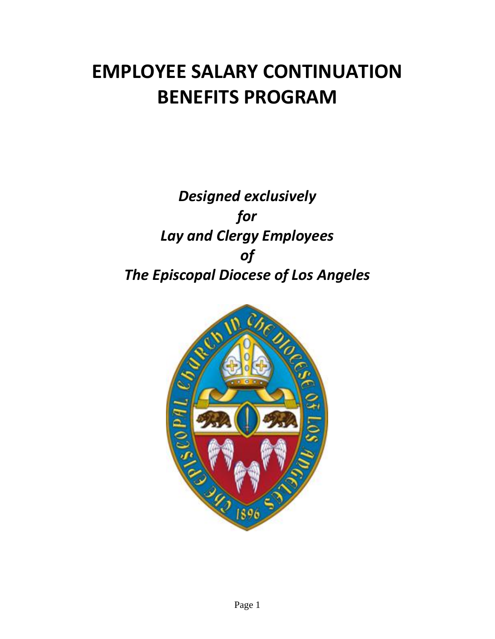# **EMPLOYEE SALARY CONTINUATION BENEFITS PROGRAM**

# *Designed exclusively for Lay and Clergy Employees of The Episcopal Diocese of Los Angeles*

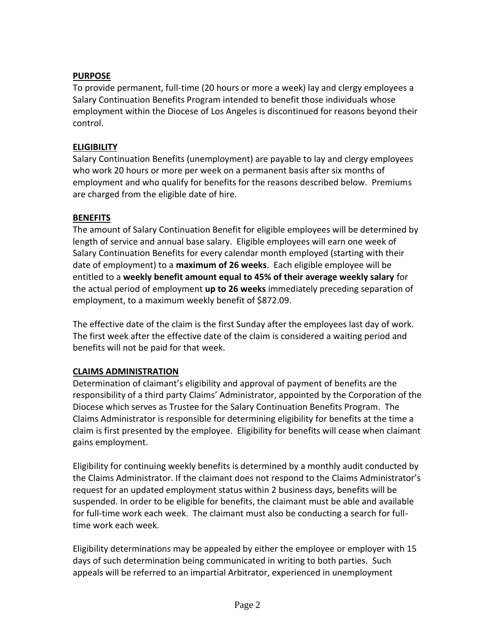# **PURPOSE**

To provide permanent, full-time (20 hours or more a week) lay and clergy employees a Salary Continuation Benefits Program intended to benefit those individuals whose employment within the Diocese of Los Angeles is discontinued for reasons beyond their control.

## **ELIGIBILITY**

Salary Continuation Benefits (unemployment) are payable to lay and clergy employees who work 20 hours or more per week on a permanent basis after six months of employment and who qualify for benefits for the reasons described below. Premiums are charged from the eligible date of hire.

# **BENEFITS**

The amount of Salary Continuation Benefit for eligible employees will be determined by length of service and annual base salary. Eligible employees will earn one week of Salary Continuation Benefits for every calendar month employed (starting with their date of employment) to a **maximum of 26 weeks**. Each eligible employee will be entitled to a **weekly benefit amount equal to 45% of their average weekly salary** for the actual period of employment **up to 26 weeks** immediately preceding separation of employment, to a maximum weekly benefit of \$872.09.

The effective date of the claim is the first Sunday after the employees last day of work. The first week after the effective date of the claim is considered a waiting period and benefits will not be paid for that week.

#### **CLAIMS ADMINISTRATION**

Determination of claimant's eligibility and approval of payment of benefits are the responsibility of a third party Claims' Administrator, appointed by the Corporation of the Diocese which serves as Trustee for the Salary Continuation Benefits Program. The Claims Administrator is responsible for determining eligibility for benefits at the time a claim is first presented by the employee. Eligibility for benefits will cease when claimant gains employment.

Eligibility for continuing weekly benefits is determined by a monthly audit conducted by the Claims Administrator. If the claimant does not respond to the Claims Administrator's request for an updated employment status within 2 business days, benefits will be suspended. In order to be eligible for benefits, the claimant must be able and available for full-time work each week. The claimant must also be conducting a search for fulltime work each week.

Eligibility determinations may be appealed by either the employee or employer with 15 days of such determination being communicated in writing to both parties. Such appeals will be referred to an impartial Arbitrator, experienced in unemployment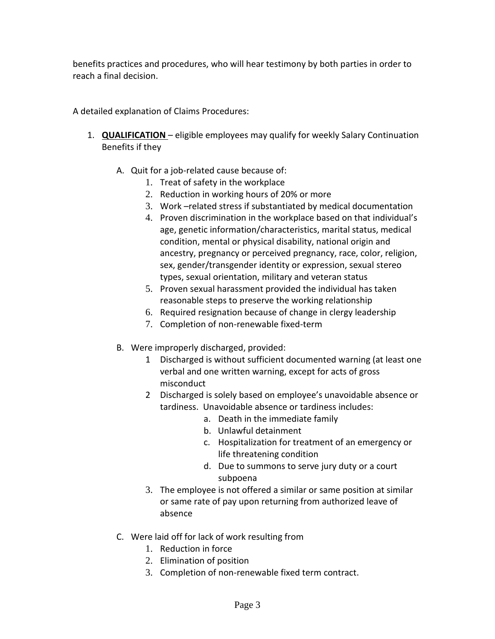benefits practices and procedures, who will hear testimony by both parties in order to reach a final decision.

A detailed explanation of Claims Procedures:

- 1. **QUALIFICATION** eligible employees may qualify for weekly Salary Continuation Benefits if they
	- A. Quit for a job-related cause because of:
		- 1. Treat of safety in the workplace
		- 2. Reduction in working hours of 20% or more
		- 3. Work –related stress if substantiated by medical documentation
		- 4. Proven discrimination in the workplace based on that individual's age, genetic information/characteristics, marital status, medical condition, mental or physical disability, national origin and ancestry, pregnancy or perceived pregnancy, race, color, religion, sex, gender/transgender identity or expression, sexual stereo types, sexual orientation, military and veteran status
		- 5. Proven sexual harassment provided the individual has taken reasonable steps to preserve the working relationship
		- 6. Required resignation because of change in clergy leadership
		- 7. Completion of non-renewable fixed-term
	- B. Were improperly discharged, provided:
		- 1 Discharged is without sufficient documented warning (at least one verbal and one written warning, except for acts of gross misconduct
		- 2 Discharged is solely based on employee's unavoidable absence or tardiness. Unavoidable absence or tardiness includes:
			- a. Death in the immediate family
			- b. Unlawful detainment
			- c. Hospitalization for treatment of an emergency or life threatening condition
			- d. Due to summons to serve jury duty or a court subpoena
		- 3. The employee is not offered a similar or same position at similar or same rate of pay upon returning from authorized leave of absence
	- C. Were laid off for lack of work resulting from
		- 1. Reduction in force
		- 2. Elimination of position
		- 3. Completion of non-renewable fixed term contract.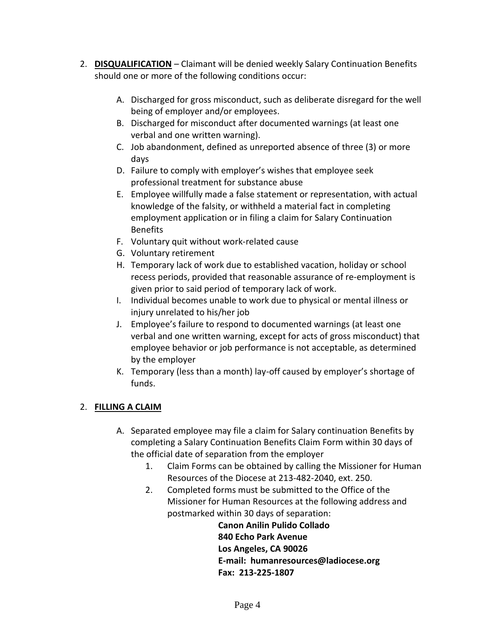- 2. **DISQUALIFICATION** Claimant will be denied weekly Salary Continuation Benefits should one or more of the following conditions occur:
	- A. Discharged for gross misconduct, such as deliberate disregard for the well being of employer and/or employees.
	- B. Discharged for misconduct after documented warnings (at least one verbal and one written warning).
	- C. Job abandonment, defined as unreported absence of three (3) or more days
	- D. Failure to comply with employer's wishes that employee seek professional treatment for substance abuse
	- E. Employee willfully made a false statement or representation, with actual knowledge of the falsity, or withheld a material fact in completing employment application or in filing a claim for Salary Continuation Benefits
	- F. Voluntary quit without work-related cause
	- G. Voluntary retirement
	- H. Temporary lack of work due to established vacation, holiday or school recess periods, provided that reasonable assurance of re-employment is given prior to said period of temporary lack of work.
	- I. Individual becomes unable to work due to physical or mental illness or injury unrelated to his/her job
	- J. Employee's failure to respond to documented warnings (at least one verbal and one written warning, except for acts of gross misconduct) that employee behavior or job performance is not acceptable, as determined by the employer
	- K. Temporary (less than a month) lay-off caused by employer's shortage of funds.

# 2. **FILLING A CLAIM**

- A. Separated employee may file a claim for Salary continuation Benefits by completing a Salary Continuation Benefits Claim Form within 30 days of the official date of separation from the employer
	- 1. Claim Forms can be obtained by calling the Missioner for Human Resources of the Diocese at 213-482-2040, ext. 250.
	- 2. Completed forms must be submitted to the Office of the Missioner for Human Resources at the following address and postmarked within 30 days of separation:

**Canon Anilin Pulido Collado 840 Echo Park Avenue Los Angeles, CA 90026 E-mail: humanresources@ladiocese.org Fax: 213-225-1807**